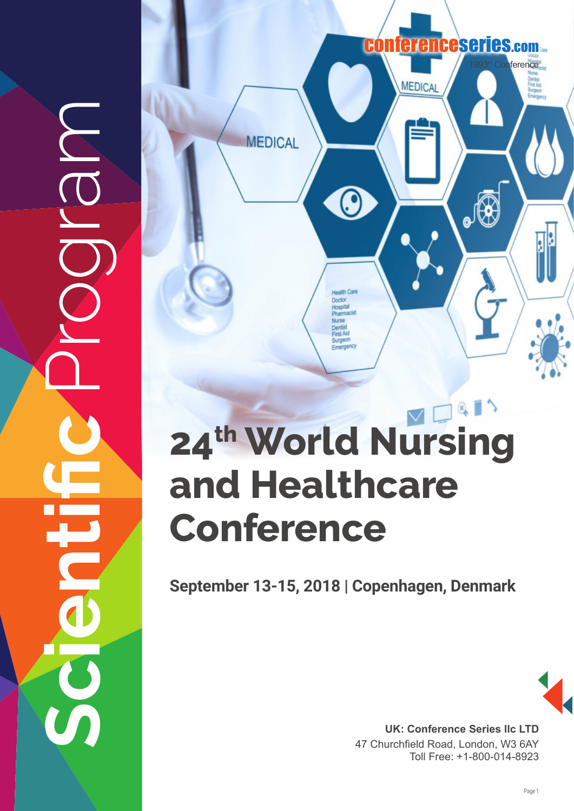**Scientific** Program



# **24th World Nursing and Healthcare Conference**

**September 13-15, 2018 | Copenhagen, Denmark**



UK: Conference Series IIc LTD 47 Churchfield Road, London, W3 6AY Toll Free: +1-800-014-8923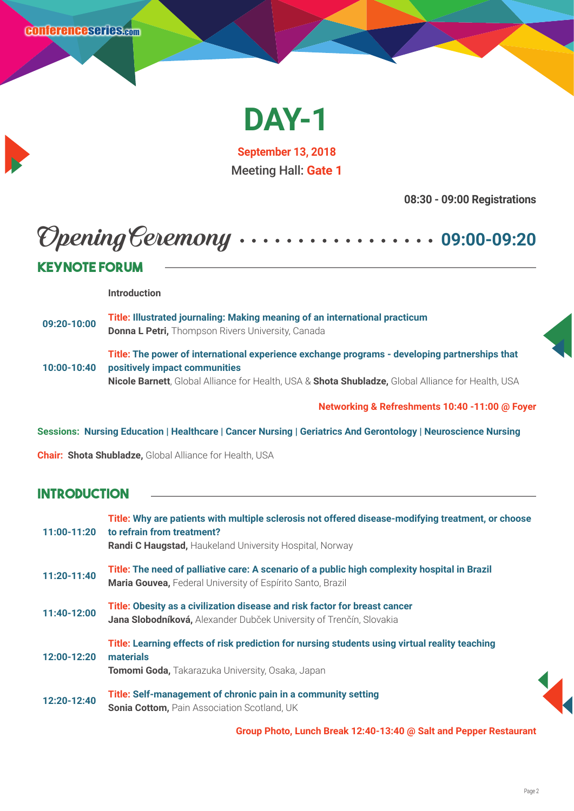

**September 13, 2018** Meeting Hall: **Gate 1**

**08:30 - 09:00 Registrations**

# Opening Ceremony **09:00-09:20**

#### **Keynote Forum Introduction 09:20-10:00 Title: Illustrated journaling: Making meaning of an international practicum Donna L Petri,** Thompson Rivers University, Canada **10:00-10:40 Title: The power of international experience exchange programs - developing partnerships that positively impact communities Nicole Barnett**, Global Alliance for Health, USA & **Shota Shubladze,** Global Alliance for Health, USA

**Networking & Refreshments 10:40 -11:00 @ Foyer**

**Sessions: Nursing Education | Healthcare | Cancer Nursing | Geriatrics And Gerontology | Neuroscience Nursing** 

**Chair: Shota Shubladze,** Global Alliance for Health, USA

#### **Introduction**

| 11:00-11:20 | Title: Why are patients with multiple sclerosis not offered disease-modifying treatment, or choose<br>to refrain from treatment?<br><b>Randi C Haugstad, Haukeland University Hospital, Norway</b> |
|-------------|----------------------------------------------------------------------------------------------------------------------------------------------------------------------------------------------------|
| 11:20-11:40 | Title: The need of palliative care: A scenario of a public high complexity hospital in Brazil<br>Maria Gouvea, Federal University of Espírito Santo, Brazil                                        |
| 11:40-12:00 | Title: Obesity as a civilization disease and risk factor for breast cancer<br>Jana Slobodníková, Alexander Dubček University of Trenčín, Slovakia                                                  |
| 12:00-12:20 | Title: Learning effects of risk prediction for nursing students using virtual reality teaching<br>materials<br>Tomomi Goda, Takarazuka University, Osaka, Japan                                    |
| 12:20-12:40 | Title: Self-management of chronic pain in a community setting<br><b>Sonia Cottom, Pain Association Scotland, UK</b>                                                                                |

**Group Photo, Lunch Break 12:40-13:40 @ Salt and Pepper Restaurant**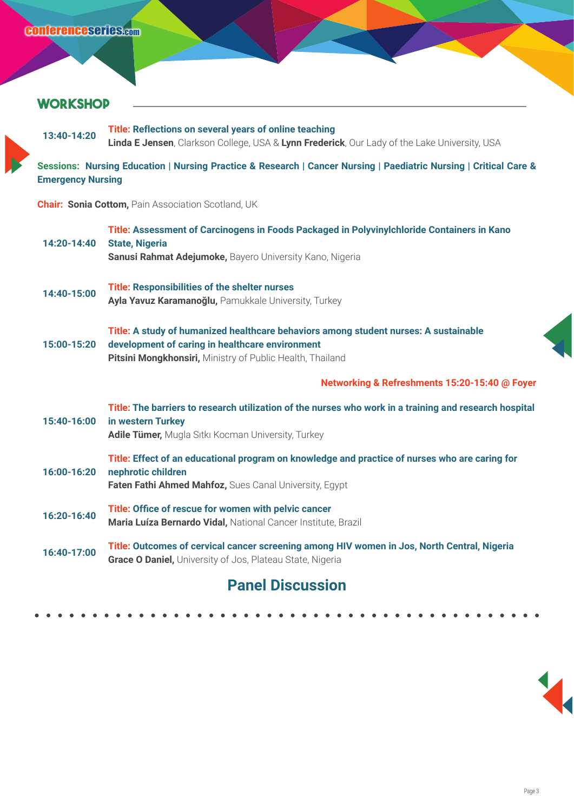#### **WORKSHOP**

**13:40-14:20 Title: Reflections on several years of online teaching Linda E Jensen**, Clarkson College, USA & **Lynn Frederick**, Our Lady of the Lake University, USA

**Sessions: Nursing Education | Nursing Practice & Research | Cancer Nursing | Paediatric Nursing | Critical Care & Emergency Nursing** 

**Chair: Sonia Cottom,** Pain Association Scotland, UK

| 14:20-14:40 | Title: Assessment of Carcinogens in Foods Packaged in Polyvinylchloride Containers in Kano<br><b>State, Nigeria</b><br>Sanusi Rahmat Adejumoke, Bayero University Kano, Nigeria                      |
|-------------|------------------------------------------------------------------------------------------------------------------------------------------------------------------------------------------------------|
| 14:40-15:00 | <b>Title: Responsibilities of the shelter nurses</b><br>Ayla Yavuz Karamanoğlu, Pamukkale University, Turkey                                                                                         |
| 15:00-15:20 | Title: A study of humanized healthcare behaviors among student nurses: A sustainable<br>development of caring in healthcare environment<br>Pitsini Mongkhonsiri, Ministry of Public Health, Thailand |
|             | Networking & Refreshments 15:20-15:40 @ Foyer                                                                                                                                                        |
| 15:40-16:00 | Title: The barriers to research utilization of the nurses who work in a training and research hospital<br>in western Turkey<br>Adile Tümer, Mugla Sıtkı Kocman University, Turkey                    |
| 16:00-16:20 | Title: Effect of an educational program on knowledge and practice of nurses who are caring for<br>nephrotic children<br>Faten Fathi Ahmed Mahfoz, Sues Canal University, Egypt                       |
| 16:20-16:40 | Title: Office of rescue for women with pelvic cancer<br>Maria Luíza Bernardo Vidal, National Cancer Institute, Brazil                                                                                |
| 16:40-17:00 | Title: Outcomes of cervical cancer screening among HIV women in Jos, North Central, Nigeria<br>Grace O Daniel, University of Jos, Plateau State, Nigeria                                             |
|             | <b>Panel Discussion</b>                                                                                                                                                                              |

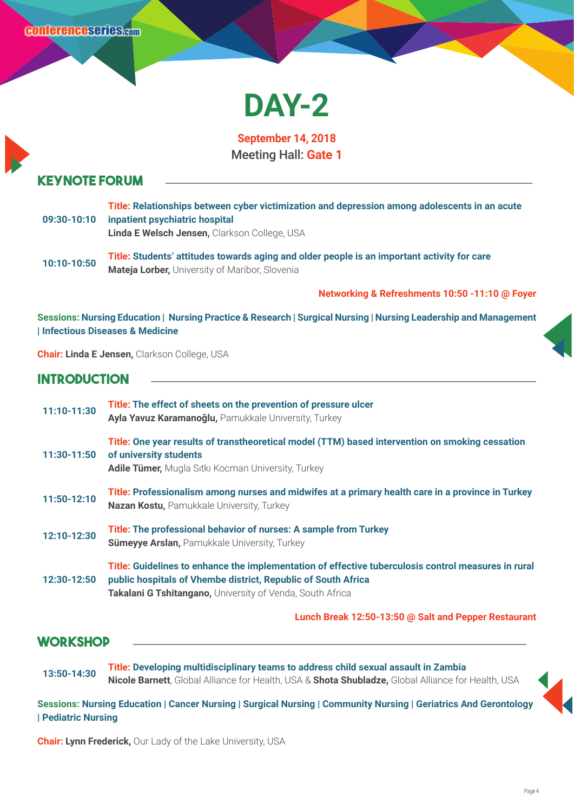# **DAY-2**

**September 14, 2018** Meeting Hall: **Gate 1**

#### **Keynote Forum**

| 09:30-10:10 | Title: Relationships between cyber victimization and depression among adolescents in an acute<br>inpatient psychiatric hospital<br>Linda E Welsch Jensen, Clarkson College, USA |
|-------------|---------------------------------------------------------------------------------------------------------------------------------------------------------------------------------|
| 10:10-10:50 | Title: Students' attitudes towards aging and older people is an important activity for care<br><b>Mateja Lorber, University of Maribor, Slovenia</b>                            |

**Networking & Refreshments 10:50 -11:10 @ Foyer**

**Sessions: Nursing Education | Nursing Practice & Research | Surgical Nursing | Nursing Leadership and Management | Infectious Diseases & Medicine**

**Chair: Linda E Jensen,** Clarkson College, USA

#### **Introduction**

| 11:10-11:30 | Title: The effect of sheets on the prevention of pressure ulcer<br>Ayla Yavuz Karamanoğlu, Pamukkale University, Turkey                                                                                                           |
|-------------|-----------------------------------------------------------------------------------------------------------------------------------------------------------------------------------------------------------------------------------|
| 11:30-11:50 | Title: One year results of transtheoretical model (TTM) based intervention on smoking cessation<br>of university students<br><b>Adile Tümer, Mugla Sitki Kocman University, Turkey</b>                                            |
| 11:50-12:10 | Title: Professionalism among nurses and midwifes at a primary health care in a province in Turkey<br><b>Nazan Kostu, Pamukkale University, Turkey</b>                                                                             |
| 12:10-12:30 | Title: The professional behavior of nurses: A sample from Turkey<br><b>Sümeyye Arslan, Pamukkale University, Turkey</b>                                                                                                           |
| 12:30-12:50 | Title: Guidelines to enhance the implementation of effective tuberculosis control measures in rural<br>public hospitals of Vhembe district, Republic of South Africa<br>Takalani G Tshitangano, University of Venda, South Africa |

**Lunch Break 12:50-13:50 @ Salt and Pepper Restaurant**

#### **WORKSHOP**

**13:50-14:30 Title: Developing multidisciplinary teams to address child sexual assault in Zambia Nicole Barnett**, Global Alliance for Health, USA & **Shota Shubladze,** Global Alliance for Health, USA

**Sessions: Nursing Education | Cancer Nursing | Surgical Nursing | Community Nursing | Geriatrics And Gerontology | Pediatric Nursing**

**Chair: Lynn Frederick,** Our Lady of the Lake University, USA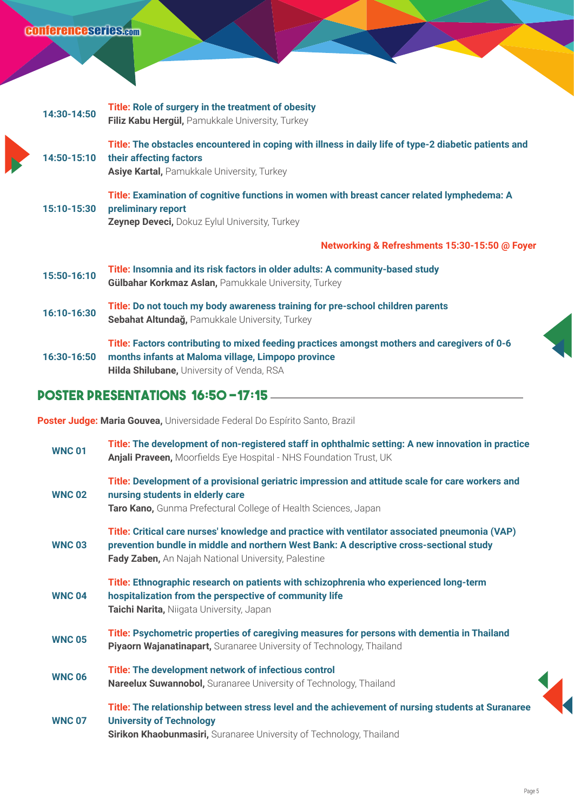### conferenceseries.com

| 14:30-14:50 | Title: Role of surgery in the treatment of obesity<br>Filiz Kabu Hergül, Pamukkale University, Turkey                                                                          |
|-------------|--------------------------------------------------------------------------------------------------------------------------------------------------------------------------------|
| 14:50-15:10 | Title: The obstacles encountered in coping with illness in daily life of type-2 diabetic patients and<br>their affecting factors<br>Asiye Kartal, Pamukkale University, Turkey |
| 15:10-15:30 | Title: Examination of cognitive functions in women with breast cancer related lymphedema: A<br>preliminary report<br><b>Zeynep Deveci, Dokuz Eylul University, Turkey</b>      |
|             | Networking & Refreshments 15:30-15:50 @ Foyer                                                                                                                                  |
| 15:50-16:10 | Title: Insomnia and its risk factors in older adults: A community-based study<br>Gülbahar Korkmaz Aslan, Pamukkale University, Turkey                                          |
| 16:10-16:30 | Title: Do not touch my body awareness training for pre-school children parents<br>Sebahat Altundağ, Pamukkale University, Turkey                                               |
| 16:30-16:50 | Title: Factors contributing to mixed feeding practices amongst mothers and caregivers of 0-6<br>months infants at Maloma village, Limpopo province                             |

#### **POSTER PRESENTATIONS 16:50 -17:15**

**Poster Judge: Maria Gouvea,** Universidade Federal Do Espírito Santo, Brazil

| <b>WNC 01</b> | Title: The development of non-registered staff in ophthalmic setting: A new innovation in practice<br>Anjali Praveen, Moorfields Eye Hospital - NHS Foundation Trust, UK                                                                         |
|---------------|--------------------------------------------------------------------------------------------------------------------------------------------------------------------------------------------------------------------------------------------------|
| <b>WNC 02</b> | Title: Development of a provisional geriatric impression and attitude scale for care workers and<br>nursing students in elderly care<br>Taro Kano, Gunma Prefectural College of Health Sciences, Japan                                           |
| <b>WNC03</b>  | Title: Critical care nurses' knowledge and practice with ventilator associated pneumonia (VAP)<br>prevention bundle in middle and northern West Bank: A descriptive cross-sectional study<br>Fady Zaben, An Najah National University, Palestine |
| <b>WNC 04</b> | Title: Ethnographic research on patients with schizophrenia who experienced long-term<br>hospitalization from the perspective of community life<br>Taichi Narita, Niigata University, Japan                                                      |
| <b>WNC 05</b> | Title: Psychometric properties of caregiving measures for persons with dementia in Thailand<br>Piyaorn Wajanatinapart, Suranaree University of Technology, Thailand                                                                              |
| <b>WNC 06</b> | Title: The development network of infectious control<br><b>Nareelux Suwannobol, Suranaree University of Technology, Thailand</b>                                                                                                                 |
| <b>WNC 07</b> | Title: The relationship between stress level and the achievement of nursing students at Suranaree<br><b>University of Technology</b><br><b>Sirikon Khaobunmasiri, Suranaree University of Technology, Thailand</b>                               |